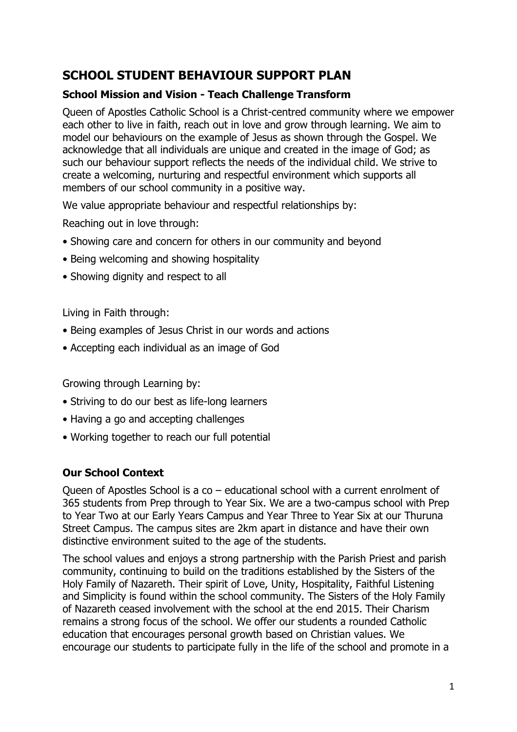# **SCHOOL STUDENT BEHAVIOUR SUPPORT PLAN**

#### **School Mission and Vision - Teach Challenge Transform**

Queen of Apostles Catholic School is a Christ-centred community where we empower each other to live in faith, reach out in love and grow through learning. We aim to model our behaviours on the example of Jesus as shown through the Gospel. We acknowledge that all individuals are unique and created in the image of God; as such our behaviour support reflects the needs of the individual child. We strive to create a welcoming, nurturing and respectful environment which supports all members of our school community in a positive way.

We value appropriate behaviour and respectful relationships by:

Reaching out in love through:

- Showing care and concern for others in our community and beyond
- Being welcoming and showing hospitality
- Showing dignity and respect to all

Living in Faith through:

- Being examples of Jesus Christ in our words and actions
- Accepting each individual as an image of God

Growing through Learning by:

- Striving to do our best as life-long learners
- Having a go and accepting challenges
- Working together to reach our full potential

### **Our School Context**

Queen of Apostles School is a co – educational school with a current enrolment of 365 students from Prep through to Year Six. We are a two-campus school with Prep to Year Two at our Early Years Campus and Year Three to Year Six at our Thuruna Street Campus. The campus sites are 2km apart in distance and have their own distinctive environment suited to the age of the students.

The school values and enjoys a strong partnership with the Parish Priest and parish community, continuing to build on the traditions established by the Sisters of the Holy Family of Nazareth. Their spirit of Love, Unity, Hospitality, Faithful Listening and Simplicity is found within the school community. The Sisters of the Holy Family of Nazareth ceased involvement with the school at the end 2015. Their Charism remains a strong focus of the school. We offer our students a rounded Catholic education that encourages personal growth based on Christian values. We encourage our students to participate fully in the life of the school and promote in a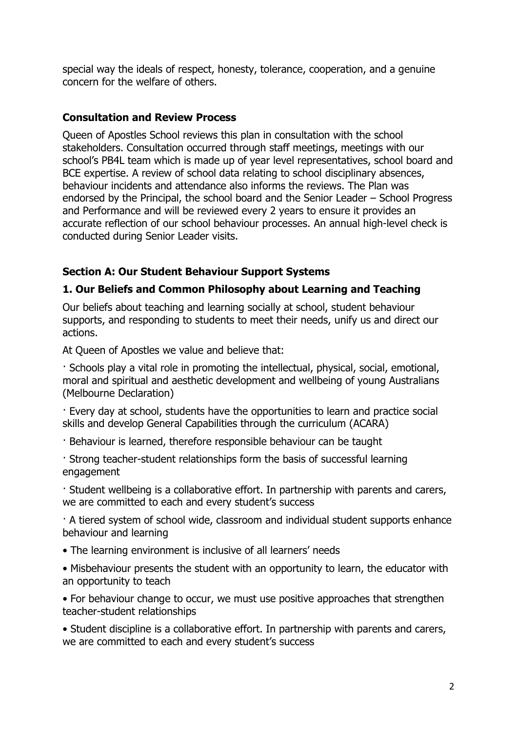special way the ideals of respect, honesty, tolerance, cooperation, and a genuine concern for the welfare of others.

#### **Consultation and Review Process**

Queen of Apostles School reviews this plan in consultation with the school stakeholders. Consultation occurred through staff meetings, meetings with our school's PB4L team which is made up of year level representatives, school board and BCE expertise. A review of school data relating to school disciplinary absences, behaviour incidents and attendance also informs the reviews. The Plan was endorsed by the Principal, the school board and the Senior Leader – School Progress and Performance and will be reviewed every 2 years to ensure it provides an accurate reflection of our school behaviour processes. An annual high-level check is conducted during Senior Leader visits.

### **Section A: Our Student Behaviour Support Systems**

### **1. Our Beliefs and Common Philosophy about Learning and Teaching**

Our beliefs about teaching and learning socially at school, student behaviour supports, and responding to students to meet their needs, unify us and direct our actions.

At Queen of Apostles we value and believe that:

· Schools play a vital role in promoting the intellectual, physical, social, emotional, moral and spiritual and aesthetic development and wellbeing of young Australians (Melbourne Declaration)

· Every day at school, students have the opportunities to learn and practice social skills and develop General Capabilities through the curriculum (ACARA)

· Behaviour is learned, therefore responsible behaviour can be taught

· Strong teacher-student relationships form the basis of successful learning engagement

· Student wellbeing is a collaborative effort. In partnership with parents and carers, we are committed to each and every student's success

· A tiered system of school wide, classroom and individual student supports enhance behaviour and learning

- The learning environment is inclusive of all learners' needs
- Misbehaviour presents the student with an opportunity to learn, the educator with an opportunity to teach

• For behaviour change to occur, we must use positive approaches that strengthen teacher-student relationships

• Student discipline is a collaborative effort. In partnership with parents and carers, we are committed to each and every student's success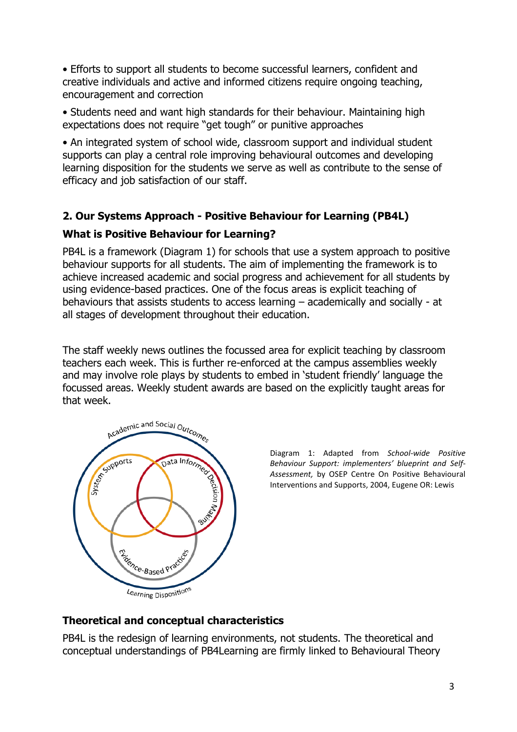• Efforts to support all students to become successful learners, confident and creative individuals and active and informed citizens require ongoing teaching, encouragement and correction

• Students need and want high standards for their behaviour. Maintaining high expectations does not require "get tough" or punitive approaches

• An integrated system of school wide, classroom support and individual student supports can play a central role improving behavioural outcomes and developing learning disposition for the students we serve as well as contribute to the sense of efficacy and job satisfaction of our staff.

### **2. Our Systems Approach - Positive Behaviour for Learning (PB4L)**

### **What is Positive Behaviour for Learning?**

PB4L is a framework (Diagram 1) for schools that use a system approach to positive behaviour supports for all students. The aim of implementing the framework is to achieve increased academic and social progress and achievement for all students by using evidence-based practices. One of the focus areas is explicit teaching of behaviours that assists students to access learning – academically and socially - at all stages of development throughout their education.

The staff weekly news outlines the focussed area for explicit teaching by classroom teachers each week. This is further re-enforced at the campus assemblies weekly and may involve role plays by students to embed in 'student friendly' language the focussed areas. Weekly student awards are based on the explicitly taught areas for that week.



Diagram 1: Adapted from *School-wide Positive Behaviour Support: implementers' blueprint and Self-Assessment,* by OSEP Centre On Positive Behavioural Interventions and Supports, 2004, Eugene OR: Lewis

#### **Theoretical and conceptual characteristics**

PB4L is the redesign of learning environments, not students. The theoretical and conceptual understandings of PB4Learning are firmly linked to Behavioural Theory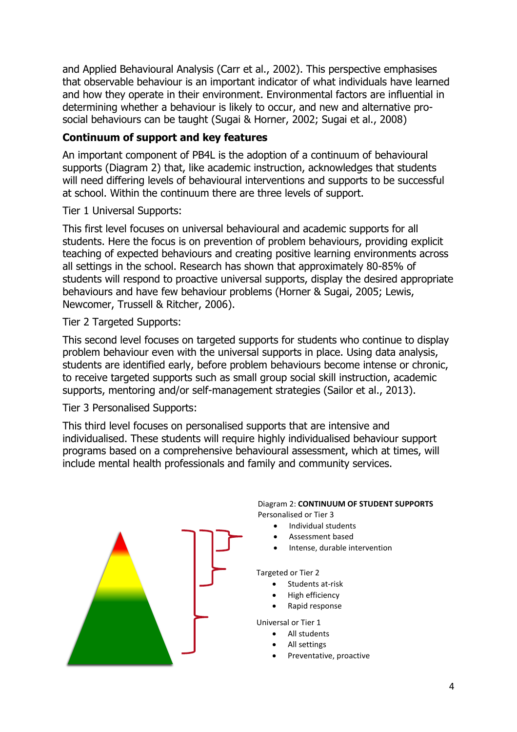and Applied Behavioural Analysis (Carr et al., 2002). This perspective emphasises that observable behaviour is an important indicator of what individuals have learned and how they operate in their environment. Environmental factors are influential in determining whether a behaviour is likely to occur, and new and alternative prosocial behaviours can be taught (Sugai & Horner, 2002; Sugai et al., 2008)

### **Continuum of support and key features**

An important component of PB4L is the adoption of a continuum of behavioural supports (Diagram 2) that, like academic instruction, acknowledges that students will need differing levels of behavioural interventions and supports to be successful at school. Within the continuum there are three levels of support.

Tier 1 Universal Supports:

This first level focuses on universal behavioural and academic supports for all students. Here the focus is on prevention of problem behaviours, providing explicit teaching of expected behaviours and creating positive learning environments across all settings in the school. Research has shown that approximately 80-85% of students will respond to proactive universal supports, display the desired appropriate behaviours and have few behaviour problems (Horner & Sugai, 2005; Lewis, Newcomer, Trussell & Ritcher, 2006).

Tier 2 Targeted Supports:

This second level focuses on targeted supports for students who continue to display problem behaviour even with the universal supports in place. Using data analysis, students are identified early, before problem behaviours become intense or chronic, to receive targeted supports such as small group social skill instruction, academic supports, mentoring and/or self-management strategies (Sailor et al., 2013).

Tier 3 Personalised Supports:

This third level focuses on personalised supports that are intensive and individualised. These students will require highly individualised behaviour support programs based on a comprehensive behavioural assessment, which at times, will include mental health professionals and family and community services.

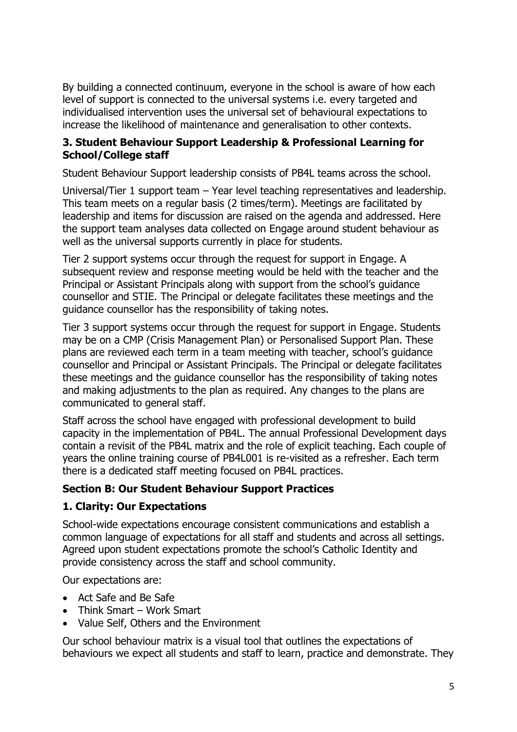By building a connected continuum, everyone in the school is aware of how each level of support is connected to the universal systems i.e. every targeted and individualised intervention uses the universal set of behavioural expectations to increase the likelihood of maintenance and generalisation to other contexts.

#### **3. Student Behaviour Support Leadership & Professional Learning for School/College staff**

Student Behaviour Support leadership consists of PB4L teams across the school.

Universal/Tier 1 support team – Year level teaching representatives and leadership. This team meets on a regular basis (2 times/term). Meetings are facilitated by leadership and items for discussion are raised on the agenda and addressed. Here the support team analyses data collected on Engage around student behaviour as well as the universal supports currently in place for students.

Tier 2 support systems occur through the request for support in Engage. A subsequent review and response meeting would be held with the teacher and the Principal or Assistant Principals along with support from the school's guidance counsellor and STIE. The Principal or delegate facilitates these meetings and the guidance counsellor has the responsibility of taking notes.

Tier 3 support systems occur through the request for support in Engage. Students may be on a CMP (Crisis Management Plan) or Personalised Support Plan. These plans are reviewed each term in a team meeting with teacher, school's guidance counsellor and Principal or Assistant Principals. The Principal or delegate facilitates these meetings and the guidance counsellor has the responsibility of taking notes and making adjustments to the plan as required. Any changes to the plans are communicated to general staff.

Staff across the school have engaged with professional development to build capacity in the implementation of PB4L. The annual Professional Development days contain a revisit of the PB4L matrix and the role of explicit teaching. Each couple of years the online training course of PB4L001 is re-visited as a refresher. Each term there is a dedicated staff meeting focused on PB4L practices.

### **Section B: Our Student Behaviour Support Practices**

### **1. Clarity: Our Expectations**

School-wide expectations encourage consistent communications and establish a common language of expectations for all staff and students and across all settings. Agreed upon student expectations promote the school's Catholic Identity and provide consistency across the staff and school community.

Our expectations are:

- Act Safe and Be Safe
- Think Smart Work Smart
- Value Self, Others and the Environment

Our school behaviour matrix is a visual tool that outlines the expectations of behaviours we expect all students and staff to learn, practice and demonstrate. They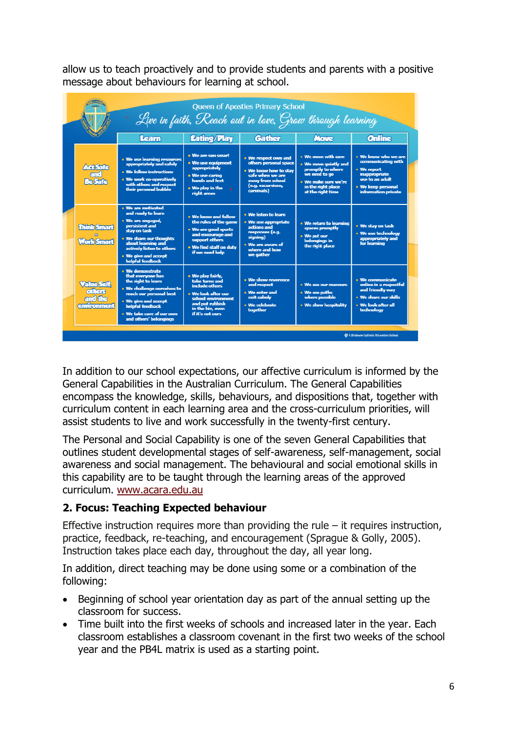allow us to teach proactively and to provide students and parents with a positive message about behaviours for learning at school.

| Queen of Apostles Primary School<br>$\cdot$ Live in faith, Reach out in love, Grow through learning |                                                                                                                                                                                                                           |                                                                                                                                                               |                                                                                                                                                   |                                                                                                                                                       |                                                                                                                                                   |
|-----------------------------------------------------------------------------------------------------|---------------------------------------------------------------------------------------------------------------------------------------------------------------------------------------------------------------------------|---------------------------------------------------------------------------------------------------------------------------------------------------------------|---------------------------------------------------------------------------------------------------------------------------------------------------|-------------------------------------------------------------------------------------------------------------------------------------------------------|---------------------------------------------------------------------------------------------------------------------------------------------------|
|                                                                                                     | Learn                                                                                                                                                                                                                     | <b>Eating/Play</b>                                                                                                                                            | <b>Gather</b>                                                                                                                                     | <b>Move</b>                                                                                                                                           | <b>Online</b>                                                                                                                                     |
| <b>Act Safe</b><br>and<br><b>Be Safe</b>                                                            | . We use learning resources<br>appropriately and safely<br>· We follow instructions<br>. We work co-operatively<br>with others and respect<br>their personal bubble                                                       | . We are sun smart<br>• We use equipment<br>appropriately<br>. We use caring<br>hands and feet<br>. We play in the<br>right areas                             | . We respect own and<br>others personal space<br>. We know how to stav<br>safe when we are<br>away from school<br>(e.g. excursions,<br>carnivals) | . We move with care<br>. We move quietly and<br>promptly to where<br>we need to go<br>. We make sure we're<br>in the right place<br>at the right time | . We know who we are<br>communicating with<br>• We report<br><b>inappropriate</b><br>use to an adult<br>. We keep personal<br>information private |
| <b>Think Smart</b><br><b>Work Smart</b>                                                             | . We are motivated<br>and ready to learn<br>· We are engaged.<br>persistent and<br>stay on task<br>. We share our thoughts<br>about learning and<br>actively listen to others<br>. We give and accept<br>helpful feedback | . We know and follow<br>the rules of the game<br>. We are good sports<br>and encourage and<br>support others<br>. We find staff on duty<br>if we need help    | . We listen to learn<br>. We use appropriate<br>actions and<br>responses (e.g.<br>signing)<br>. We are aware of<br>where and how<br>we gather     | . We return to learning<br>spaces promptly<br>. We put our<br>belongings in<br>the right place                                                        | . We stav on task<br>• We use technology<br>appropriately and<br>for learning                                                                     |
| <b>Value Self.</b><br>others<br>and the<br>environment                                              | · We demonstrate<br>that everyone has<br>the right to learn<br>. We challenge ourselves to<br>reach our personal best<br>. We give and accept<br>helpful feedback<br>. We take care of our own<br>and others' belongings  | . We play fairly,<br>take turns and<br>include others<br>. We look after our<br>school environment<br>and out rubbish<br>in the bin, even<br>if it's not ours | · We show reverence<br>and respect<br>. We enter and<br>exit calmly<br>· We celebrate<br>together                                                 | . We use our manners<br>. We use paths<br>where possible<br>. We show hospitality                                                                     | . We communicate<br>online in a respectful<br>and friendly way<br>. We share our skills<br>• We look after all<br>technology                      |
|                                                                                                     |                                                                                                                                                                                                                           |                                                                                                                                                               |                                                                                                                                                   |                                                                                                                                                       | A Brithane Catholic Education School                                                                                                              |

In addition to our school expectations, our affective curriculum is informed by the General Capabilities in the Australian Curriculum. The General Capabilities encompass the knowledge, skills, behaviours, and dispositions that, together with curriculum content in each learning area and the cross-curriculum priorities, will assist students to live and work successfully in the twenty-first century.

The Personal and Social Capability is one of the seven General Capabilities that outlines student developmental stages of self-awareness, self-management, social awareness and social management. The behavioural and social emotional skills in this capability are to be taught through the learning areas of the approved curriculum. [www.acara.edu.au](http://www.acara.edu.au/)

### **2. Focus: Teaching Expected behaviour**

Effective instruction requires more than providing the rule  $-$  it requires instruction, practice, feedback, re-teaching, and encouragement (Sprague & Golly, 2005). Instruction takes place each day, throughout the day, all year long.

In addition, direct teaching may be done using some or a combination of the following:

- Beginning of school year orientation day as part of the annual setting up the classroom for success.
- Time built into the first weeks of schools and increased later in the year. Each classroom establishes a classroom covenant in the first two weeks of the school year and the PB4L matrix is used as a starting point.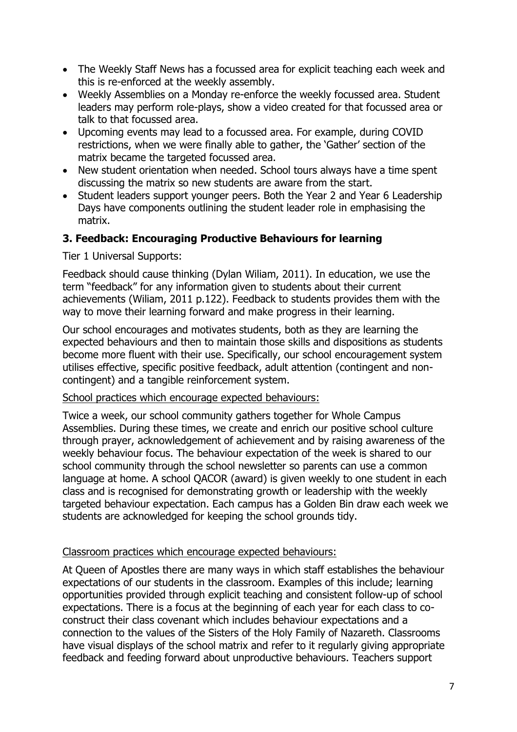- The Weekly Staff News has a focussed area for explicit teaching each week and this is re-enforced at the weekly assembly.
- Weekly Assemblies on a Monday re-enforce the weekly focussed area. Student leaders may perform role-plays, show a video created for that focussed area or talk to that focussed area.
- Upcoming events may lead to a focussed area. For example, during COVID restrictions, when we were finally able to gather, the 'Gather' section of the matrix became the targeted focussed area.
- New student orientation when needed. School tours always have a time spent discussing the matrix so new students are aware from the start.
- Student leaders support younger peers. Both the Year 2 and Year 6 Leadership Days have components outlining the student leader role in emphasising the matrix.

#### **3. Feedback: Encouraging Productive Behaviours for learning**

Tier 1 Universal Supports:

Feedback should cause thinking (Dylan Wiliam, 2011). In education, we use the term "feedback" for any information given to students about their current achievements (Wiliam, 2011 p.122). Feedback to students provides them with the way to move their learning forward and make progress in their learning.

Our school encourages and motivates students, both as they are learning the expected behaviours and then to maintain those skills and dispositions as students become more fluent with their use. Specifically, our school encouragement system utilises effective, specific positive feedback, adult attention (contingent and noncontingent) and a tangible reinforcement system.

#### School practices which encourage expected behaviours:

Twice a week, our school community gathers together for Whole Campus Assemblies. During these times, we create and enrich our positive school culture through prayer, acknowledgement of achievement and by raising awareness of the weekly behaviour focus. The behaviour expectation of the week is shared to our school community through the school newsletter so parents can use a common language at home. A school QACOR (award) is given weekly to one student in each class and is recognised for demonstrating growth or leadership with the weekly targeted behaviour expectation. Each campus has a Golden Bin draw each week we students are acknowledged for keeping the school grounds tidy.

#### Classroom practices which encourage expected behaviours:

At Queen of Apostles there are many ways in which staff establishes the behaviour expectations of our students in the classroom. Examples of this include; learning opportunities provided through explicit teaching and consistent follow-up of school expectations. There is a focus at the beginning of each year for each class to coconstruct their class covenant which includes behaviour expectations and a connection to the values of the Sisters of the Holy Family of Nazareth. Classrooms have visual displays of the school matrix and refer to it regularly giving appropriate feedback and feeding forward about unproductive behaviours. Teachers support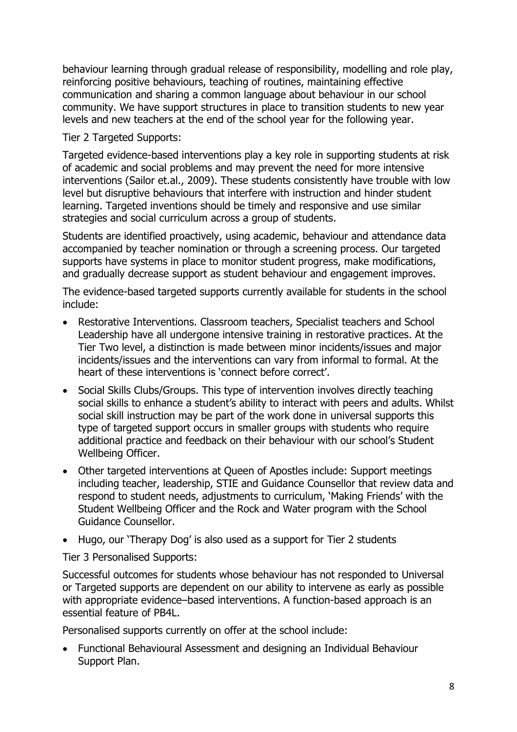behaviour learning through gradual release of responsibility, modelling and role play, reinforcing positive behaviours, teaching of routines, maintaining effective communication and sharing a common language about behaviour in our school community. We have support structures in place to transition students to new year levels and new teachers at the end of the school year for the following year.

Tier 2 Targeted Supports:

Targeted evidence-based interventions play a key role in supporting students at risk of academic and social problems and may prevent the need for more intensive interventions (Sailor et.al., 2009). These students consistently have trouble with low level but disruptive behaviours that interfere with instruction and hinder student learning. Targeted inventions should be timely and responsive and use similar strategies and social curriculum across a group of students.

Students are identified proactively, using academic, behaviour and attendance data accompanied by teacher nomination or through a screening process. Our targeted supports have systems in place to monitor student progress, make modifications, and gradually decrease support as student behaviour and engagement improves.

The evidence-based targeted supports currently available for students in the school include:

- Restorative Interventions. Classroom teachers, Specialist teachers and School Leadership have all undergone intensive training in restorative practices. At the Tier Two level, a distinction is made between minor incidents/issues and major incidents/issues and the interventions can vary from informal to formal. At the heart of these interventions is 'connect before correct'.
- Social Skills Clubs/Groups. This type of intervention involves directly teaching social skills to enhance a student's ability to interact with peers and adults. Whilst social skill instruction may be part of the work done in universal supports this type of targeted support occurs in smaller groups with students who require additional practice and feedback on their behaviour with our school's Student Wellbeing Officer.
- Other targeted interventions at Queen of Apostles include: Support meetings including teacher, leadership, STIE and Guidance Counsellor that review data and respond to student needs, adjustments to curriculum, 'Making Friends' with the Student Wellbeing Officer and the Rock and Water program with the School Guidance Counsellor.
- Hugo, our 'Therapy Dog' is also used as a support for Tier 2 students

Tier 3 Personalised Supports:

Successful outcomes for students whose behaviour has not responded to Universal or Targeted supports are dependent on our ability to intervene as early as possible with appropriate evidence–based interventions. A function-based approach is an essential feature of PB4L.

Personalised supports currently on offer at the school include:

• Functional Behavioural Assessment and designing an Individual Behaviour Support Plan.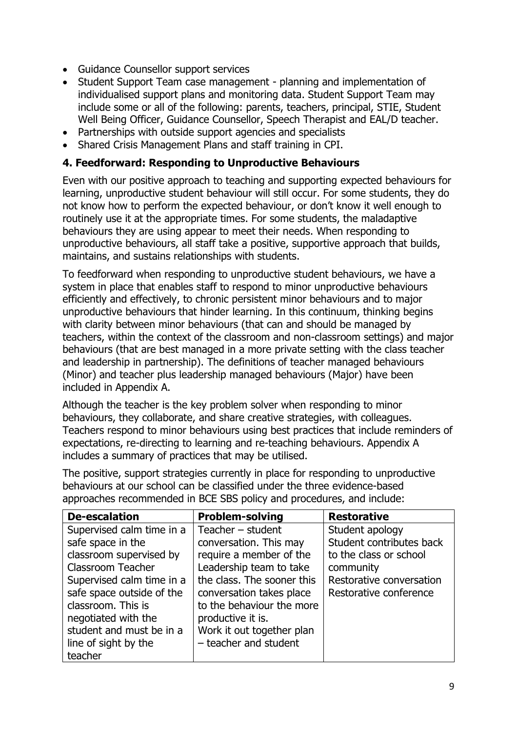- Guidance Counsellor support services
- Student Support Team case management planning and implementation of individualised support plans and monitoring data. Student Support Team may include some or all of the following: parents, teachers, principal, STIE, Student Well Being Officer, Guidance Counsellor, Speech Therapist and EAL/D teacher.
- Partnerships with outside support agencies and specialists
- Shared Crisis Management Plans and staff training in CPI.

#### **4. Feedforward: Responding to Unproductive Behaviours**

Even with our positive approach to teaching and supporting expected behaviours for learning, unproductive student behaviour will still occur. For some students, they do not know how to perform the expected behaviour, or don't know it well enough to routinely use it at the appropriate times. For some students, the maladaptive behaviours they are using appear to meet their needs. When responding to unproductive behaviours, all staff take a positive, supportive approach that builds, maintains, and sustains relationships with students.

To feedforward when responding to unproductive student behaviours, we have a system in place that enables staff to respond to minor unproductive behaviours efficiently and effectively, to chronic persistent minor behaviours and to major unproductive behaviours that hinder learning. In this continuum, thinking begins with clarity between minor behaviours (that can and should be managed by teachers, within the context of the classroom and non-classroom settings) and major behaviours (that are best managed in a more private setting with the class teacher and leadership in partnership). The definitions of teacher managed behaviours (Minor) and teacher plus leadership managed behaviours (Major) have been included in Appendix A.

Although the teacher is the key problem solver when responding to minor behaviours, they collaborate, and share creative strategies, with colleagues. Teachers respond to minor behaviours using best practices that include reminders of expectations, re-directing to learning and re-teaching behaviours. Appendix A includes a summary of practices that may be utilised.

The positive, support strategies currently in place for responding to unproductive behaviours at our school can be classified under the three evidence-based approaches recommended in BCE SBS policy and procedures, and include:

| <b>De-escalation</b>      | <b>Problem-solving</b>     | <b>Restorative</b>       |
|---------------------------|----------------------------|--------------------------|
| Supervised calm time in a | Teacher $-$ student        | Student apology          |
| safe space in the         | conversation. This may     | Student contributes back |
| classroom supervised by   | require a member of the    | to the class or school   |
| Classroom Teacher         | Leadership team to take    | community                |
| Supervised calm time in a | the class. The sooner this | Restorative conversation |
| safe space outside of the | conversation takes place   | Restorative conference   |
| classroom. This is        | to the behaviour the more  |                          |
| negotiated with the       | productive it is.          |                          |
| student and must be in a  | Work it out together plan  |                          |
| line of sight by the      | - teacher and student      |                          |
| teacher                   |                            |                          |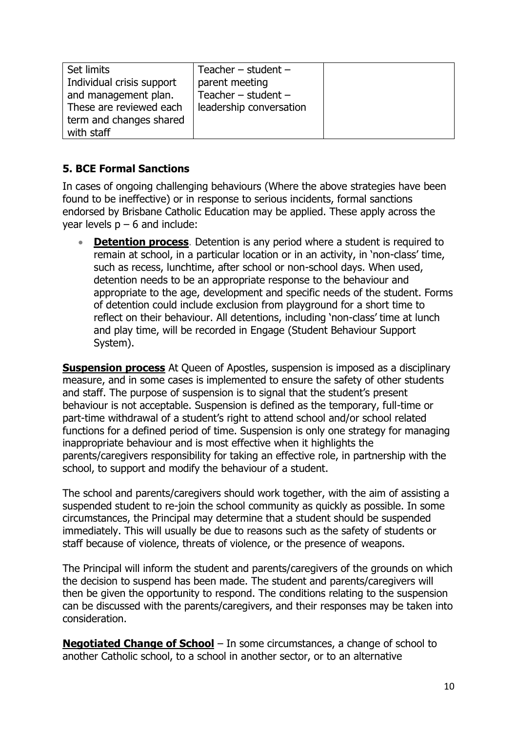| Set limits                | Teacher $-$ student $-$ |  |
|---------------------------|-------------------------|--|
| Individual crisis support | parent meeting          |  |
| and management plan.      | Teacher $-$ student $-$ |  |
| These are reviewed each   | leadership conversation |  |
| term and changes shared   |                         |  |
| with staff                |                         |  |

## **5. BCE Formal Sanctions**

In cases of ongoing challenging behaviours (Where the above strategies have been found to be ineffective) or in response to serious incidents, formal sanctions endorsed by Brisbane Catholic Education may be applied. These apply across the year levels  $p - 6$  and include:

**[Detention process](https://mybcecatholicedu.sharepoint.com/policies-and-procedures/ResourceStore/Detention%20procedure.pdf#search=Detention)**. Detention is any period where a student is required to remain at school, in a particular location or in an activity, in 'non-class' time, such as recess, lunchtime, after school or non-school days. When used, detention needs to be an appropriate response to the behaviour and appropriate to the age, development and specific needs of the student. Forms of detention could include exclusion from playground for a short time to reflect on their behaviour. All detentions, including 'non-class' time at lunch and play time, will be recorded in Engage (Student Behaviour Support System).

**[Suspension process](https://mybcecatholicedu.sharepoint.com/policies-and-procedures/ResourceStore/Suspension%20procedure.pdf#search=suspension)** At Queen of Apostles, suspension is imposed as a disciplinary measure, and in some cases is implemented to ensure the safety of other students and staff. The purpose of suspension is to signal that the student's present behaviour is not acceptable. Suspension is defined as the temporary, full-time or part-time withdrawal of a student's right to attend school and/or school related functions for a defined period of time. Suspension is only one strategy for managing inappropriate behaviour and is most effective when it highlights the parents/caregivers responsibility for taking an effective role, in partnership with the school, to support and modify the behaviour of a student.

The school and parents/caregivers should work together, with the aim of assisting a suspended student to re-join the school community as quickly as possible. In some circumstances, the Principal may determine that a student should be suspended immediately. This will usually be due to reasons such as the safety of students or staff because of violence, threats of violence, or the presence of weapons.

The Principal will inform the student and parents/caregivers of the grounds on which the decision to suspend has been made. The student and parents/caregivers will then be given the opportunity to respond. The conditions relating to the suspension can be discussed with the parents/caregivers, and their responses may be taken into consideration.

**[Negotiated Change of School](https://mybcecatholicedu.sharepoint.com/policies-and-procedures/ResourceStore/Negoitated%20Change%20of%20School%20procedure.pdf#search=negotiated%20change%20of%20school)** – In some circumstances, a change of school to another Catholic school, to a school in another sector, or to an alternative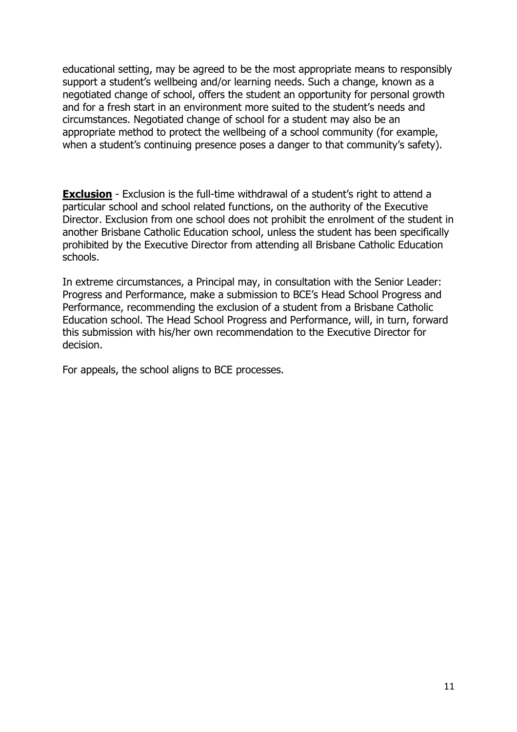educational setting, may be agreed to be the most appropriate means to responsibly support a student's wellbeing and/or learning needs. Such a change, known as a negotiated change of school, offers the student an opportunity for personal growth and for a fresh start in an environment more suited to the student's needs and circumstances. Negotiated change of school for a student may also be an appropriate method to protect the wellbeing of a school community (for example, when a student's continuing presence poses a danger to that community's safety).

**[Exclusion](https://mybcecatholicedu.sharepoint.com/policies-and-procedures/ResourceStore/Exclusion%20procedure.pdf?csf=1&e=3JQkUL&cid=5f51d06b-7979-4740-897b-24a8614e1d4a)** - Exclusion is the full-time withdrawal of a student's right to attend a particular school and school related functions, on the authority of the Executive Director. Exclusion from one school does not prohibit the enrolment of the student in another Brisbane Catholic Education school, unless the student has been specifically prohibited by the Executive Director from attending all Brisbane Catholic Education schools.

In extreme circumstances, a Principal may, in consultation with the Senior Leader: Progress and Performance, make a submission to BCE's Head School Progress and Performance, recommending the exclusion of a student from a Brisbane Catholic Education school. The Head School Progress and Performance, will, in turn, forward this submission with his/her own recommendation to the Executive Director for decision.

For appeals, the school aligns to BCE processes.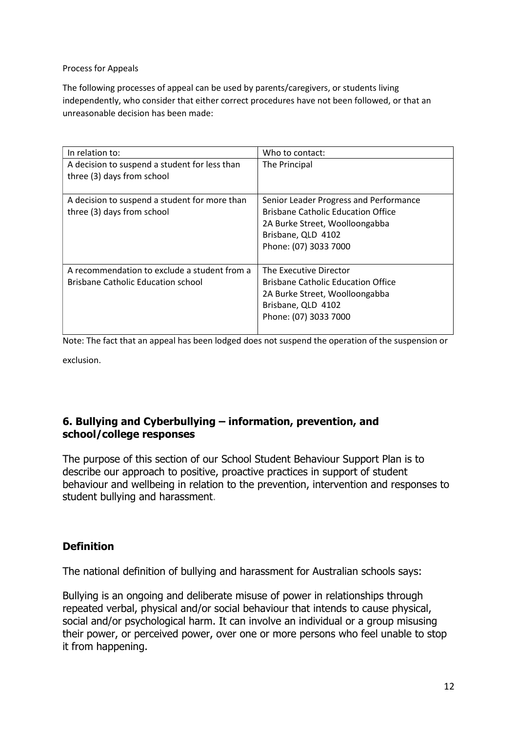#### Process for Appeals

The following processes of appeal can be used by parents/caregivers, or students living independently, who consider that either correct procedures have not been followed, or that an unreasonable decision has been made:

| In relation to:                                                                           | Who to contact:                                                                                                                                                      |
|-------------------------------------------------------------------------------------------|----------------------------------------------------------------------------------------------------------------------------------------------------------------------|
| A decision to suspend a student for less than<br>three (3) days from school               | The Principal                                                                                                                                                        |
| A decision to suspend a student for more than<br>three (3) days from school               | Senior Leader Progress and Performance<br><b>Brisbane Catholic Education Office</b><br>2A Burke Street, Woolloongabba<br>Brisbane, QLD 4102<br>Phone: (07) 3033 7000 |
| A recommendation to exclude a student from a<br><b>Brisbane Catholic Education school</b> | The Executive Director<br><b>Brisbane Catholic Education Office</b><br>2A Burke Street, Woolloongabba<br>Brisbane, QLD 4102<br>Phone: (07) 3033 7000                 |

Note: The fact that an appeal has been lodged does not suspend the operation of the suspension or

exclusion.

#### **6. Bullying and Cyberbullying – information, prevention, and school/college responses**

The purpose of this section of our School Student Behaviour Support Plan is to describe our approach to positive, proactive practices in support of student behaviour and wellbeing in relation to the prevention, intervention and responses to student bullying and harassment.

#### **Definition**

The national definition of bullying and harassment for Australian schools says:

Bullying is an ongoing and deliberate misuse of power in relationships through repeated verbal, physical and/or social behaviour that intends to cause physical, social and/or psychological harm. It can involve an individual or a group misusing their power, or perceived power, over one or more persons who feel unable to stop it from happening.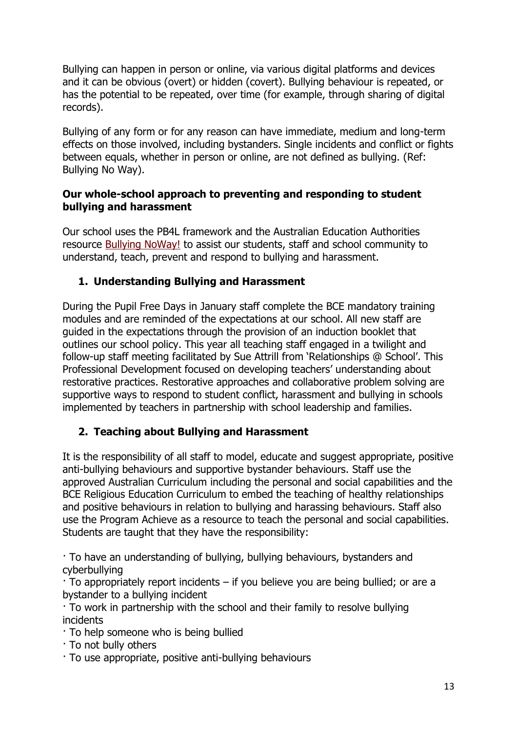Bullying can happen in person or online, via various digital platforms and devices and it can be obvious (overt) or hidden (covert). Bullying behaviour is repeated, or has the potential to be repeated, over time (for example, through sharing of digital records).

Bullying of any form or for any reason can have immediate, medium and long-term effects on those involved, including bystanders. Single incidents and conflict or fights between equals, whether in person or online, are not defined as bullying. (Ref: Bullying No Way).

#### **Our whole-school approach to preventing and responding to student bullying and harassment**

Our school uses the PB4L framework and the Australian Education Authorities resource [Bullying NoWay!](https://bullyingnoway.gov.au/) to assist our students, staff and school community to understand, teach, prevent and respond to bullying and harassment.

# **1. Understanding Bullying and Harassment**

During the Pupil Free Days in January staff complete the BCE mandatory training modules and are reminded of the expectations at our school. All new staff are guided in the expectations through the provision of an induction booklet that outlines our school policy. This year all teaching staff engaged in a twilight and follow-up staff meeting facilitated by Sue Attrill from 'Relationships @ School'. This Professional Development focused on developing teachers' understanding about restorative practices. Restorative approaches and collaborative problem solving are supportive ways to respond to student conflict, harassment and bullying in schools implemented by teachers in partnership with school leadership and families.

### **2. Teaching about Bullying and Harassment**

It is the responsibility of all staff to model, educate and suggest appropriate, positive anti-bullying behaviours and supportive bystander behaviours. Staff use the approved Australian Curriculum including the personal and social capabilities and the BCE Religious Education Curriculum to embed the teaching of healthy relationships and positive behaviours in relation to bullying and harassing behaviours. Staff also use the Program Achieve as a resource to teach the personal and social capabilities. Students are taught that they have the responsibility:

· To have an understanding of bullying, bullying behaviours, bystanders and cyberbullying

· To appropriately report incidents – if you believe you are being bullied; or are a bystander to a bullying incident

· To work in partnership with the school and their family to resolve bullying incidents

- · To help someone who is being bullied
- · To not bully others
- · To use appropriate, positive anti-bullying behaviours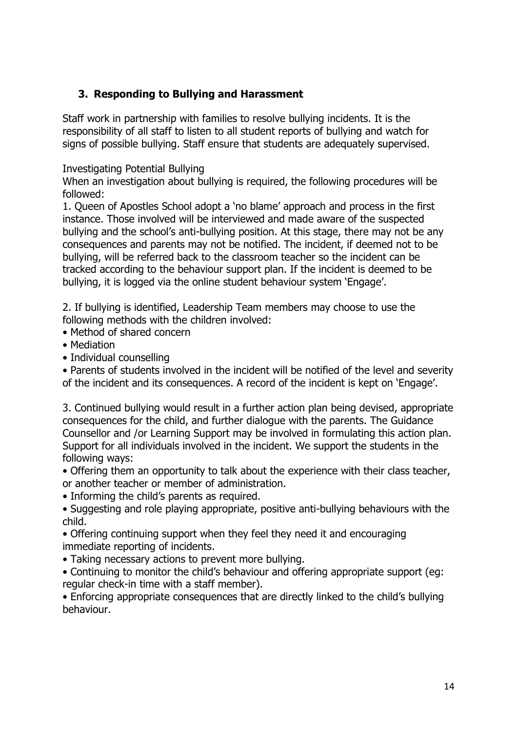## **3. Responding to Bullying and Harassment**

Staff work in partnership with families to resolve bullying incidents. It is the responsibility of all staff to listen to all student reports of bullying and watch for signs of possible bullying. Staff ensure that students are adequately supervised.

Investigating Potential Bullying

When an investigation about bullying is required, the following procedures will be followed:

1. Queen of Apostles School adopt a 'no blame' approach and process in the first instance. Those involved will be interviewed and made aware of the suspected bullying and the school's anti-bullying position. At this stage, there may not be any consequences and parents may not be notified. The incident, if deemed not to be bullying, will be referred back to the classroom teacher so the incident can be tracked according to the behaviour support plan. If the incident is deemed to be bullying, it is logged via the online student behaviour system 'Engage'.

2. If bullying is identified, Leadership Team members may choose to use the following methods with the children involved:

- Method of shared concern
- Mediation
- Individual counselling

• Parents of students involved in the incident will be notified of the level and severity of the incident and its consequences. A record of the incident is kept on 'Engage'.

3. Continued bullying would result in a further action plan being devised, appropriate consequences for the child, and further dialogue with the parents. The Guidance Counsellor and /or Learning Support may be involved in formulating this action plan. Support for all individuals involved in the incident. We support the students in the following ways:

- Offering them an opportunity to talk about the experience with their class teacher, or another teacher or member of administration.
- Informing the child's parents as required.
- Suggesting and role playing appropriate, positive anti-bullying behaviours with the child.
- Offering continuing support when they feel they need it and encouraging immediate reporting of incidents.
- Taking necessary actions to prevent more bullying.
- Continuing to monitor the child's behaviour and offering appropriate support (eg: regular check-in time with a staff member).

• Enforcing appropriate consequences that are directly linked to the child's bullying behaviour.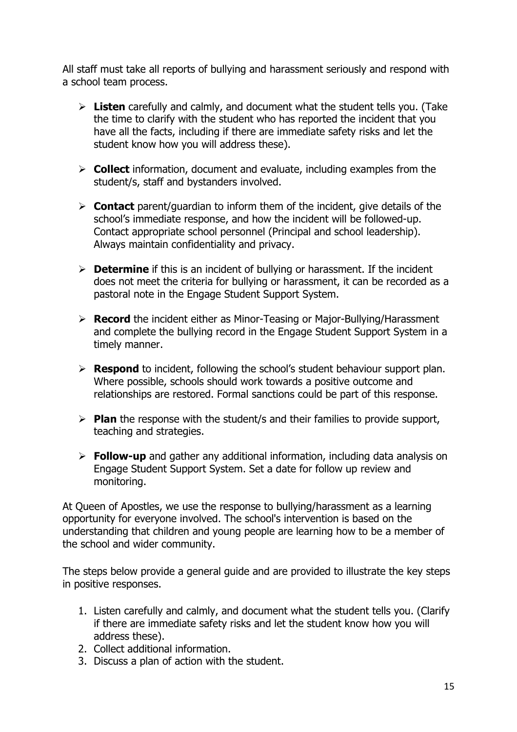All staff must take all reports of bullying and harassment seriously and respond with a school team process.

- ➢ **Listen** carefully and calmly, and document what the student tells you. (Take the time to clarify with the student who has reported the incident that you have all the facts, including if there are immediate safety risks and let the student know how you will address these).
- ➢ **Collect** information, document and evaluate, including examples from the student/s, staff and bystanders involved.
- ➢ **Contact** parent/guardian to inform them of the incident, give details of the school's immediate response, and how the incident will be followed-up. Contact appropriate school personnel (Principal and school leadership). Always maintain confidentiality and privacy.
- ➢ **Determine** if this is an incident of bullying or harassment. If the incident does not meet the criteria for bullying or harassment, it can be recorded as a pastoral note in the Engage Student Support System.
- ➢ **Record** the incident either as Minor-Teasing or Major-Bullying/Harassment and complete the bullying record in the Engage Student Support System in a timely manner.
- ➢ **Respond** to incident, following the school's student behaviour support plan. Where possible, schools should work towards a positive outcome and relationships are restored. Formal sanctions could be part of this response.
- ➢ **Plan** the response with the student/s and their families to provide support, teaching and strategies.
- ➢ **Follow-up** and gather any additional information, including data analysis on Engage Student Support System. Set a date for follow up review and monitoring.

At Queen of Apostles, we use the response to bullying/harassment as a learning opportunity for everyone involved. The school's intervention is based on the understanding that children and young people are learning how to be a member of the school and wider community.

The steps below provide a general guide and are provided to illustrate the key steps in positive responses.

- 1. Listen carefully and calmly, and document what the student tells you. (Clarify if there are immediate safety risks and let the student know how you will address these).
- 2. Collect additional information.
- 3. Discuss a plan of action with the student.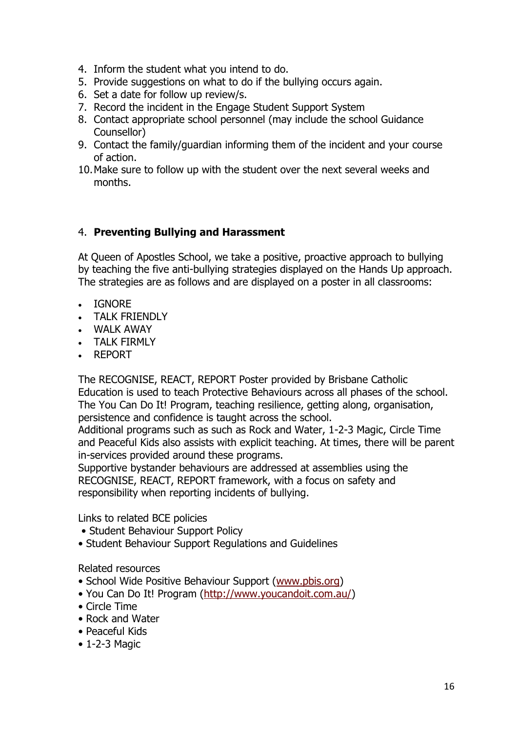- 4. Inform the student what you intend to do.
- 5. Provide suggestions on what to do if the bullying occurs again.
- 6. Set a date for follow up review/s.
- 7. Record the incident in the Engage Student Support System
- 8. Contact appropriate school personnel (may include the school Guidance Counsellor)
- 9. Contact the family/guardian informing them of the incident and your course of action.
- 10.Make sure to follow up with the student over the next several weeks and months.

# 4. **Preventing Bullying and Harassment**

At Queen of Apostles School, we take a positive, proactive approach to bullying by teaching the five anti-bullying strategies displayed on the Hands Up approach. The strategies are as follows and are displayed on a poster in all classrooms:

- IGNORE
- TALK FRIENDLY
- WALK AWAY
- TALK FIRMLY
- REPORT

The RECOGNISE, REACT, REPORT Poster provided by Brisbane Catholic Education is used to teach Protective Behaviours across all phases of the school. The You Can Do It! Program, teaching resilience, getting along, organisation, persistence and confidence is taught across the school.

Additional programs such as such as Rock and Water, 1-2-3 Magic, Circle Time and Peaceful Kids also assists with explicit teaching. At times, there will be parent in-services provided around these programs.

Supportive bystander behaviours are addressed at assemblies using the RECOGNISE, REACT, REPORT framework, with a focus on safety and responsibility when reporting incidents of bullying.

Links to related BCE policies

- Student Behaviour Support Policy
- Student Behaviour Support Regulations and Guidelines

#### Related resources

- School Wide Positive Behaviour Support ([www.pbis.org\)](http://www.pbis.org/)
- You Can Do It! Program ([http://www.youcandoit.com.au/\)](http://www.youcandoit.com.au/)
- Circle Time
- Rock and Water
- Peaceful Kids
- 1-2-3 Magic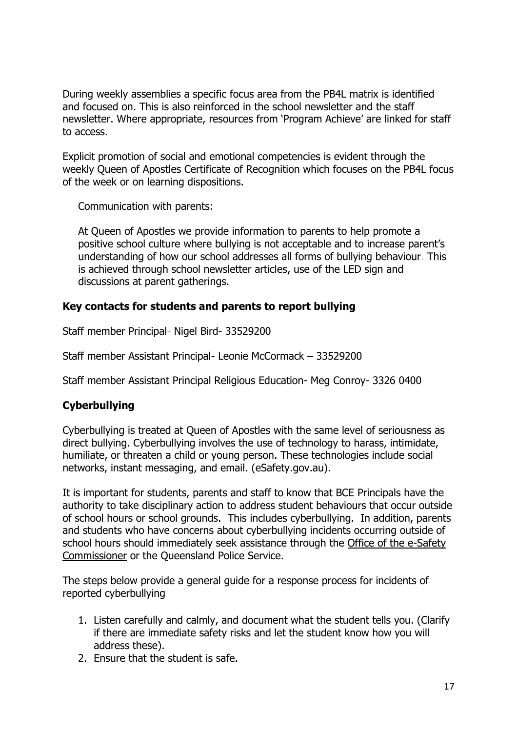During weekly assemblies a specific focus area from the PB4L matrix is identified and focused on. This is also reinforced in the school newsletter and the staff newsletter. Where appropriate, resources from 'Program Achieve' are linked for staff to access.

Explicit promotion of social and emotional competencies is evident through the weekly Queen of Apostles Certificate of Recognition which focuses on the PB4L focus of the week or on learning dispositions.

Communication with parents:

At Queen of Apostles we provide information to parents to help promote a positive school culture where bullying is not acceptable and to increase parent's understanding of how our school addresses all forms of bullying behaviour. This is achieved through school newsletter articles, use of the LED sign and discussions at parent gatherings.

### **Key contacts for students and parents to report bullying**

Staff member Principal- Nigel Bird- 33529200

Staff member Assistant Principal- Leonie McCormack – 33529200

Staff member Assistant Principal Religious Education- Meg Conroy- 3326 0400

### **Cyberbullying**

Cyberbullying is treated at Queen of Apostles with the same level of seriousness as direct bullying. Cyberbullying involves the use of technology to harass, intimidate, humiliate, or threaten a child or young person. These technologies include social networks, instant messaging, and email. (eSafety.gov.au).

It is important for students, parents and staff to know that BCE Principals have the authority to take disciplinary action to address student behaviours that occur outside of school hours or school grounds. This includes cyberbullying. In addition, parents and students who have concerns about cyberbullying incidents occurring outside of school hours should immediately seek assistance through the [Office of the e-Safety](https://www.esafety.gov.au/)  [Commissioner](https://www.esafety.gov.au/) or the Queensland Police Service.

The steps below provide a general guide for a response process for incidents of reported cyberbullying

- 1. Listen carefully and calmly, and document what the student tells you. (Clarify if there are immediate safety risks and let the student know how you will address these).
- 2. Ensure that the student is safe.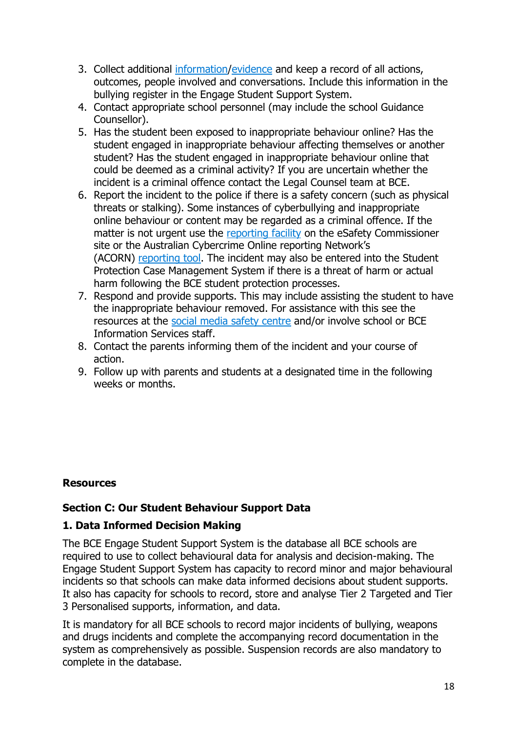- 3. Collect additional [information/](https://www.esafety.gov.au/complaints-and-reporting/cyberbullying-complaints/collecting-information)[evidence](https://www.esafety.gov.au/image-based-abuse/legal/how-to-collect-evidence) and keep a record of all actions, outcomes, people involved and conversations. Include this information in the bullying register in the Engage Student Support System.
- 4. Contact appropriate school personnel (may include the school Guidance Counsellor).
- 5. Has the student been exposed to inappropriate behaviour online? Has the student engaged in inappropriate behaviour affecting themselves or another student? Has the student engaged in inappropriate behaviour online that could be deemed as a criminal activity? If you are uncertain whether the incident is a criminal offence contact the Legal Counsel team at BCE.
- 6. Report the incident to the police if there is a safety concern (such as physical threats or stalking). Some instances of cyberbullying and inappropriate online behaviour or content may be regarded as a criminal offence. If the matter is not urgent use the [reporting facility](https://esafety.gov.au/complaints-and-reporting/cyberbullying-complaints) on the eSafety Commissioner site or the Australian Cybercrime Online reporting Network's (ACORN) [reporting tool.](https://www.acorn.gov.au/) The incident may also be entered into the Student Protection Case Management System if there is a threat of harm or actual harm following the BCE student protection processes.
- 7. Respond and provide supports. This may include assisting the student to have the inappropriate behaviour removed. For assistance with this see the resources at the [social media safety centre](https://www.esafety.gov.au/complaints-and-reporting/cyberbullying-complaints/social-media-services-safety-centres) and/or involve school or BCE Information Services staff.
- 8. Contact the parents informing them of the incident and your course of action.
- 9. Follow up with parents and students at a designated time in the following weeks or months.

### **Resources**

#### **Section C: Our Student Behaviour Support Data**

#### **1. Data Informed Decision Making**

The BCE Engage Student Support System is the database all BCE schools are required to use to collect behavioural data for analysis and decision-making. The Engage Student Support System has capacity to record minor and major behavioural incidents so that schools can make data informed decisions about student supports. It also has capacity for schools to record, store and analyse Tier 2 Targeted and Tier 3 Personalised supports, information, and data.

It is mandatory for all BCE schools to record major incidents of bullying, weapons and drugs incidents and complete the accompanying record documentation in the system as comprehensively as possible. Suspension records are also mandatory to complete in the database.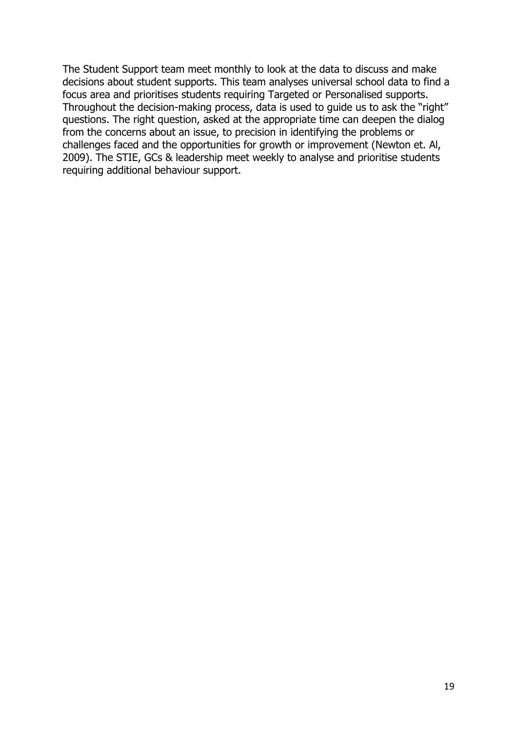The Student Support team meet monthly to look at the data to discuss and make decisions about student supports. This team analyses universal school data to find a focus area and prioritises students requiring Targeted or Personalised supports. Throughout the decision-making process, data is used to guide us to ask the "right" questions. The right question, asked at the appropriate time can deepen the dialog from the concerns about an issue, to precision in identifying the problems or challenges faced and the opportunities for growth or improvement (Newton et. Al, 2009). The STIE, GCs & leadership meet weekly to analyse and prioritise students requiring additional behaviour support.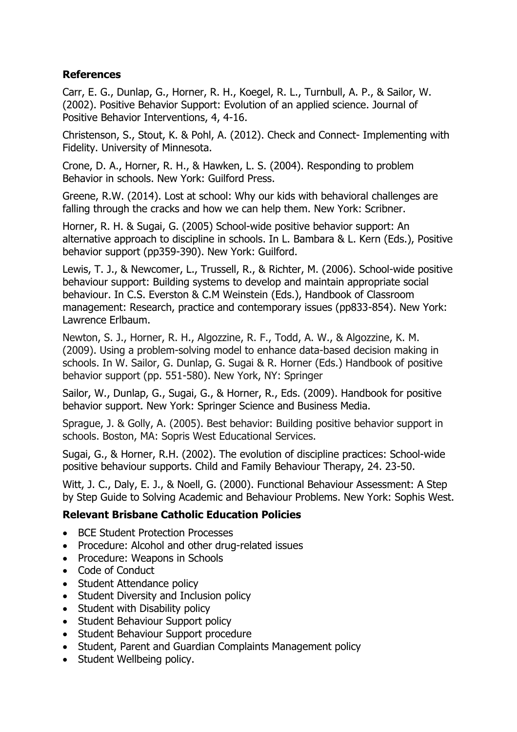#### **References**

Carr, E. G., Dunlap, G., Horner, R. H., Koegel, R. L., Turnbull, A. P., & Sailor, W. (2002). Positive Behavior Support: Evolution of an applied science. Journal of Positive Behavior Interventions, 4, 4-16.

Christenson, S., Stout, K. & Pohl, A. (2012). Check and Connect- Implementing with Fidelity. University of Minnesota.

Crone, D. A., Horner, R. H., & Hawken, L. S. (2004). Responding to problem Behavior in schools. New York: Guilford Press.

Greene, R.W. (2014). Lost at school: Why our kids with behavioral challenges are falling through the cracks and how we can help them. New York: Scribner.

Horner, R. H. & Sugai, G. (2005) School-wide positive behavior support: An alternative approach to discipline in schools. In L. Bambara & L. Kern (Eds.), Positive behavior support (pp359-390). New York: Guilford.

Lewis, T. J., & Newcomer, L., Trussell, R., & Richter, M. (2006). School-wide positive behaviour support: Building systems to develop and maintain appropriate social behaviour. In C.S. Everston & C.M Weinstein (Eds.), Handbook of Classroom management: Research, practice and contemporary issues (pp833-854). New York: Lawrence Erlbaum.

Newton, S. J., Horner, R. H., Algozzine, R. F., Todd, A. W., & Algozzine, K. M. (2009). Using a problem-solving model to enhance data-based decision making in schools. In W. Sailor, G. Dunlap, G. Sugai & R. Horner (Eds.) Handbook of positive behavior support (pp. 551-580). New York, NY: Springer

Sailor, W., Dunlap, G., Sugai, G., & Horner, R., Eds. (2009). Handbook for positive behavior support. New York: Springer Science and Business Media.

Sprague, J. & Golly, A. (2005). Best behavior: Building positive behavior support in schools. Boston, MA: Sopris West Educational Services.

Sugai, G., & Horner, R.H. (2002). The evolution of discipline practices: School-wide positive behaviour supports. Child and Family Behaviour Therapy, 24. 23-50.

Witt, J. C., Daly, E. J., & Noell, G. (2000). Functional Behaviour Assessment: A Step by Step Guide to Solving Academic and Behaviour Problems. New York: Sophis West.

### **Relevant Brisbane Catholic Education Policies**

- BCE Student Protection Processes
- Procedure: Alcohol and other drug-related issues
- Procedure: Weapons in Schools
- Code of Conduct
- Student Attendance policy
- Student Diversity and Inclusion policy
- Student with Disability policy
- Student Behaviour Support policy
- Student Behaviour Support procedure
- Student, Parent and Guardian Complaints Management policy
- Student Wellbeing policy.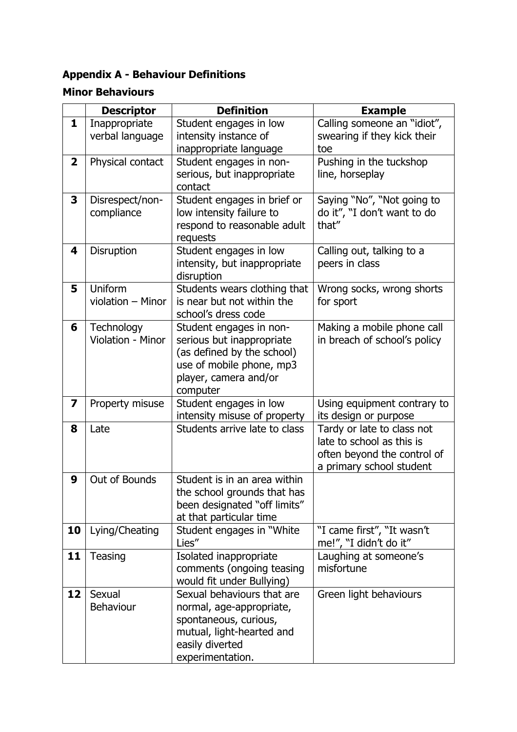# **Appendix A - Behaviour Definitions**

# **Minor Behaviours**

|                         | <b>Descriptor</b>                | <b>Definition</b>                                                                                                                                   | <b>Example</b>                                                                                                     |
|-------------------------|----------------------------------|-----------------------------------------------------------------------------------------------------------------------------------------------------|--------------------------------------------------------------------------------------------------------------------|
| 1                       | Inappropriate<br>verbal language | Student engages in low<br>intensity instance of<br>inappropriate language                                                                           | Calling someone an "idiot",<br>swearing if they kick their<br>toe                                                  |
| $\mathbf{2}$            | Physical contact                 | Student engages in non-<br>serious, but inappropriate<br>contact                                                                                    | Pushing in the tuckshop<br>line, horseplay                                                                         |
| 3                       | Disrespect/non-<br>compliance    | Student engages in brief or<br>low intensity failure to<br>respond to reasonable adult<br>requests                                                  | Saying "No", "Not going to<br>do it", "I don't want to do<br>that"                                                 |
| 4                       | Disruption                       | Student engages in low<br>intensity, but inappropriate<br>disruption                                                                                | Calling out, talking to a<br>peers in class                                                                        |
| 5                       | Uniform<br>violation - Minor     | Students wears clothing that<br>is near but not within the<br>school's dress code                                                                   | Wrong socks, wrong shorts<br>for sport                                                                             |
| 6                       | Technology<br>Violation - Minor  | Student engages in non-<br>serious but inappropriate<br>(as defined by the school)<br>use of mobile phone, mp3<br>player, camera and/or<br>computer | Making a mobile phone call<br>in breach of school's policy                                                         |
| $\overline{\mathbf{z}}$ | Property misuse                  | Student engages in low<br>intensity misuse of property                                                                                              | Using equipment contrary to<br>its design or purpose                                                               |
| 8                       | Late                             | Students arrive late to class                                                                                                                       | Tardy or late to class not<br>late to school as this is<br>often beyond the control of<br>a primary school student |
| 9                       | Out of Bounds                    | Student is in an area within<br>the school grounds that has<br>been designated "off limits"<br>at that particular time                              |                                                                                                                    |
| 10                      | Lying/Cheating                   | Student engages in "White"<br>Lies"                                                                                                                 | "I came first", "It wasn't<br>me!", "I didn't do it"                                                               |
| 11                      | Teasing                          | Isolated inappropriate<br>comments (ongoing teasing<br>would fit under Bullying)                                                                    | Laughing at someone's<br>misfortune                                                                                |
| 12                      | Sexual<br><b>Behaviour</b>       | Sexual behaviours that are<br>normal, age-appropriate,<br>spontaneous, curious,<br>mutual, light-hearted and<br>easily diverted<br>experimentation. | Green light behaviours                                                                                             |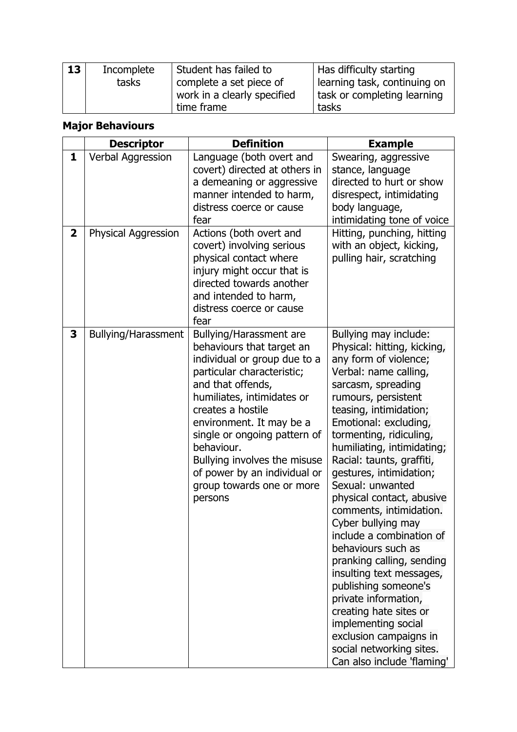| 13 | Incomplete | Student has failed to       | Has difficulty starting        |
|----|------------|-----------------------------|--------------------------------|
|    | tasks      | complete a set piece of     | I learning task, continuing on |
|    |            | work in a clearly specified | task or completing learning    |
|    |            | time frame                  | tasks                          |

# **Major Behaviours**

|                     | <b>Descriptor</b>                        | <b>Definition</b>                                                                                                                                                                                                                                                                                                                                                                    | <b>Example</b>                                                                                                                                                                                                                                                                                                                                                                                                                                                                                                                                                                                                                                                                                                            |
|---------------------|------------------------------------------|--------------------------------------------------------------------------------------------------------------------------------------------------------------------------------------------------------------------------------------------------------------------------------------------------------------------------------------------------------------------------------------|---------------------------------------------------------------------------------------------------------------------------------------------------------------------------------------------------------------------------------------------------------------------------------------------------------------------------------------------------------------------------------------------------------------------------------------------------------------------------------------------------------------------------------------------------------------------------------------------------------------------------------------------------------------------------------------------------------------------------|
| 1<br>$\overline{2}$ | Verbal Aggression<br>Physical Aggression | Language (both overt and<br>covert) directed at others in<br>a demeaning or aggressive<br>manner intended to harm,<br>distress coerce or cause<br>fear<br>Actions (both overt and<br>covert) involving serious<br>physical contact where<br>injury might occur that is<br>directed towards another<br>and intended to harm,<br>distress coerce or cause                              | Swearing, aggressive<br>stance, language<br>directed to hurt or show<br>disrespect, intimidating<br>body language,<br>intimidating tone of voice<br>Hitting, punching, hitting<br>with an object, kicking,<br>pulling hair, scratching                                                                                                                                                                                                                                                                                                                                                                                                                                                                                    |
| 3                   | <b>Bullying/Harassment</b>               | fear<br>Bullying/Harassment are<br>behaviours that target an<br>individual or group due to a<br>particular characteristic;<br>and that offends,<br>humiliates, intimidates or<br>creates a hostile<br>environment. It may be a<br>single or ongoing pattern of<br>behaviour.<br>Bullying involves the misuse<br>of power by an individual or<br>group towards one or more<br>persons | Bullying may include:<br>Physical: hitting, kicking,<br>any form of violence;<br>Verbal: name calling,<br>sarcasm, spreading<br>rumours, persistent<br>teasing, intimidation;<br>Emotional: excluding,<br>tormenting, ridiculing,<br>humiliating, intimidating;<br>Racial: taunts, graffiti,<br>gestures, intimidation;<br>Sexual: unwanted<br>physical contact, abusive<br>comments, intimidation.<br>Cyber bullying may<br>include a combination of<br>behaviours such as<br>pranking calling, sending<br>insulting text messages,<br>publishing someone's<br>private information,<br>creating hate sites or<br>implementing social<br>exclusion campaigns in<br>social networking sites.<br>Can also include 'flaming' |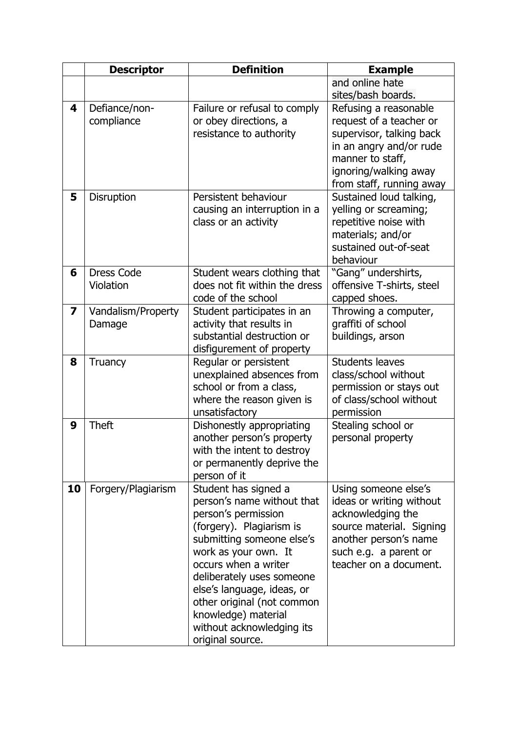|                         | <b>Descriptor</b>  | <b>Definition</b>                                        | <b>Example</b>                             |
|-------------------------|--------------------|----------------------------------------------------------|--------------------------------------------|
|                         |                    |                                                          | and online hate                            |
|                         |                    |                                                          | sites/bash boards.                         |
| 4                       | Defiance/non-      | Failure or refusal to comply                             | Refusing a reasonable                      |
|                         | compliance         | or obey directions, a                                    | request of a teacher or                    |
|                         |                    | resistance to authority                                  | supervisor, talking back                   |
|                         |                    |                                                          | in an angry and/or rude                    |
|                         |                    |                                                          | manner to staff,                           |
|                         |                    |                                                          | ignoring/walking away                      |
|                         |                    |                                                          | from staff, running away                   |
| 5                       | Disruption         | Persistent behaviour                                     | Sustained loud talking,                    |
|                         |                    | causing an interruption in a                             | yelling or screaming;                      |
|                         |                    | class or an activity                                     | repetitive noise with                      |
|                         |                    |                                                          | materials; and/or<br>sustained out-of-seat |
|                         |                    |                                                          | behaviour                                  |
| 6                       | <b>Dress Code</b>  | Student wears clothing that                              | "Gang" undershirts,                        |
|                         | Violation          | does not fit within the dress                            | offensive T-shirts, steel                  |
|                         |                    | code of the school                                       | capped shoes.                              |
| $\overline{\mathbf{z}}$ | Vandalism/Property | Student participates in an                               | Throwing a computer,                       |
|                         | Damage             | activity that results in                                 | graffiti of school                         |
|                         |                    | substantial destruction or                               | buildings, arson                           |
|                         |                    | disfigurement of property                                |                                            |
| 8                       | Truancy            | Regular or persistent                                    | <b>Students leaves</b>                     |
|                         |                    | unexplained absences from                                | class/school without                       |
|                         |                    | school or from a class,                                  | permission or stays out                    |
|                         |                    | where the reason given is                                | of class/school without                    |
|                         |                    | unsatisfactory                                           | permission                                 |
| 9                       | <b>Theft</b>       | Dishonestly appropriating                                | Stealing school or                         |
|                         |                    | another person's property                                | personal property                          |
|                         |                    | with the intent to destroy<br>or permanently deprive the |                                            |
|                         |                    | person of it                                             |                                            |
| 10                      | Forgery/Plagiarism | Student has signed a                                     | Using someone else's                       |
|                         |                    | person's name without that                               | ideas or writing without                   |
|                         |                    | person's permission                                      | acknowledging the                          |
|                         |                    | (forgery). Plagiarism is                                 | source material. Signing                   |
|                         |                    | submitting someone else's                                | another person's name                      |
|                         |                    | work as your own. It                                     | such e.g. a parent or                      |
|                         |                    | occurs when a writer                                     | teacher on a document.                     |
|                         |                    | deliberately uses someone                                |                                            |
|                         |                    | else's language, ideas, or                               |                                            |
|                         |                    | other original (not common                               |                                            |
|                         |                    | knowledge) material                                      |                                            |
|                         |                    | without acknowledging its                                |                                            |
|                         |                    | original source.                                         |                                            |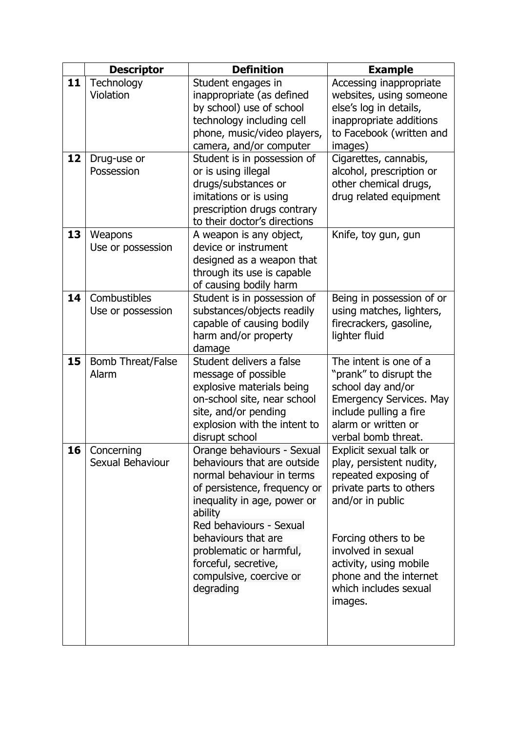|    | <b>Descriptor</b>        | <b>Definition</b>            | <b>Example</b>                 |
|----|--------------------------|------------------------------|--------------------------------|
| 11 | Technology               | Student engages in           | Accessing inappropriate        |
|    | Violation                | inappropriate (as defined    | websites, using someone        |
|    |                          | by school) use of school     | else's log in details,         |
|    |                          | technology including cell    | inappropriate additions        |
|    |                          | phone, music/video players,  | to Facebook (written and       |
|    |                          | camera, and/or computer      | images)                        |
| 12 | Drug-use or              | Student is in possession of  | Cigarettes, cannabis,          |
|    | Possession               | or is using illegal          | alcohol, prescription or       |
|    |                          | drugs/substances or          | other chemical drugs,          |
|    |                          | imitations or is using       | drug related equipment         |
|    |                          | prescription drugs contrary  |                                |
|    |                          | to their doctor's directions |                                |
| 13 | Weapons                  | A weapon is any object,      | Knife, toy gun, gun            |
|    | Use or possession        | device or instrument         |                                |
|    |                          | designed as a weapon that    |                                |
|    |                          | through its use is capable   |                                |
|    |                          | of causing bodily harm       |                                |
| 14 | Combustibles             | Student is in possession of  | Being in possession of or      |
|    | Use or possession        | substances/objects readily   | using matches, lighters,       |
|    |                          | capable of causing bodily    | firecrackers, gasoline,        |
|    |                          | harm and/or property         | lighter fluid                  |
|    |                          | damage                       |                                |
| 15 | <b>Bomb Threat/False</b> | Student delivers a false     | The intent is one of a         |
|    | Alarm                    | message of possible          | "prank" to disrupt the         |
|    |                          | explosive materials being    | school day and/or              |
|    |                          | on-school site, near school  | <b>Emergency Services. May</b> |
|    |                          | site, and/or pending         | include pulling a fire         |
|    |                          | explosion with the intent to | alarm or written or            |
|    |                          | disrupt school               | verbal bomb threat.            |
| 16 | Concerning               | Orange behaviours - Sexual   | Explicit sexual talk or        |
|    | Sexual Behaviour         | behaviours that are outside  | play, persistent nudity,       |
|    |                          | normal behaviour in terms    | repeated exposing of           |
|    |                          | of persistence, frequency or | private parts to others        |
|    |                          | inequality in age, power or  | and/or in public               |
|    |                          | ability                      |                                |
|    |                          | Red behaviours - Sexual      |                                |
|    |                          | behaviours that are          | Forcing others to be           |
|    |                          | problematic or harmful,      | involved in sexual             |
|    |                          | forceful, secretive,         | activity, using mobile         |
|    |                          | compulsive, coercive or      | phone and the internet         |
|    |                          | degrading                    | which includes sexual          |
|    |                          |                              | images.                        |
|    |                          |                              |                                |
|    |                          |                              |                                |
|    |                          |                              |                                |